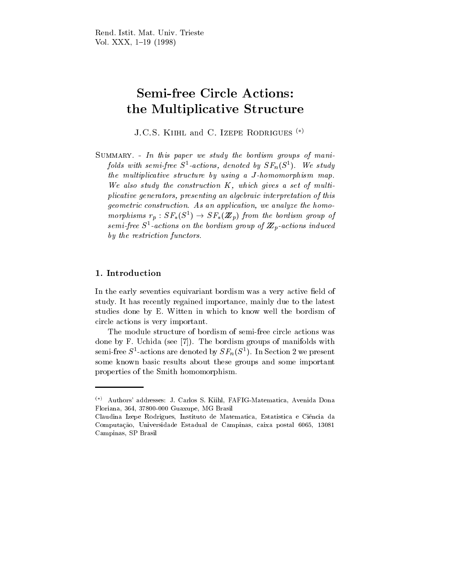# Semi-free Circle Actions: the Multiplicative Structure

J.C.S. Kiihl and C. Izepe Rodrigues ()

SUMMARY. - In this paper we study the bordism groups of manifolds with semi-free  $S$ -actions, denoted by  $\Delta F_n(S^{\pi})$ . We study the multiplicative structure by using a J -homomorphism map. We also study the construction K, which gives a set of multiplicative generators, presenting an algebraic interpretation of this geometric construction. As an application, we analyze the homomorphisms  $r_p : \mathcal{S}F_*(\mathcal{S}^-) \to \mathcal{S}F_*(\mathbf{Z}_p)$  from the bordism group of semi-free  $S$  -actions on the bordism group of  $\mathbb{Z} _p$ -actions induced by the restriction functors.

## 1. Introduction

In the early seventies equivariant bordism was a very active field of study. It has recently regained importance, mainly due to the latest studies done by E. Witten in which to know well the bordism of circle actions is very important.

The module structure of bordism of semi-free circle actions was done by F. Uchida (see [7]). The bordism groups of manifolds with semi-free  $S$ -actions are denoted by  $Sr_n(S^-)$ . In Section 2 we present some known basic results about these groups and some important properties of the Smith homomorphism.

<sup>()</sup> Authors' addresses: J. Carlos S. Kiihl, FAFIG-Matematica, Avenida Dona Floriana, 364, 37800-000 Guaxupe, MG Brasil

Claudina Izepe Rodrigues, Instituto de Matematica, Estatistica e Ci^encia da Computação, Universidade Estadual de Campinas, caixa postal 6065, 13081 Campinas, SP Brasil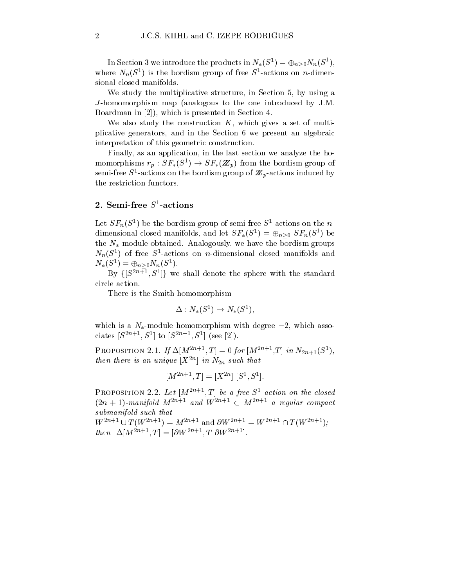In Section 3 we introduce the products in  $N_*(S^*) = \oplus_{n>0} N_n(S^-)$ , where  $N_n(\mathcal{S}^*)$  is the bordism group of free  $\mathcal{S}^-$ -actions on *n*-dimensional closed manifolds.

We study the multiplicative structure, in Section 5, by using a J -homomorphism map (analogous to the one introduced by J.M. Boardman in [2]), which is presented in Section 4.

We also study the construction  $K$ , which gives a set of multiplicative generators, and in the Section 6 we present an algebraic interpretation of this geometric construction.

Finally, as an application, in the last section we analyze the homomorphisms  $r_p : \mathcal{S}F_*(\mathcal{S}^-) \to \mathcal{S}F_*(\mathbb{Z}_p)$  from the bordism group of semi-free  $S$  -actions on the bordism group of  $\mathbb{Z}_p$ -actions induced by the restriction functors.

## 2. Semi-free  $S^1$ -actions

Let  $\mathcal{S}r_n(\mathcal{S}^*)$  be the bordism group of semi-free  $\mathcal{S}^*$ -actions on the  $n$ dimensional closed manifolds, and let  $SF_*(S^+) = \oplus_{n>0} SF_n(S^+)$  be the  $N_*$ -module obtained. Analogously, we have the bordism groups  $N_n(S^-)$  of free  $S^-$ -actions on n-dimensional closed manifolds and  $N_*(\mathcal{S}^*) = \bigoplus_{n>0} N_n(\mathcal{S}^*)$ .

 $\mathbf{D} \mathbf{y}$   $\{|\mathcal{S}^{++}, \mathcal{S}^{+}|\}$  we shall denote the sphere with the standard circle action.

There is the Smith homomorphism

$$
\Delta: N_*(S^1) \to N_*(S^1),
$$

which is a  $N_*$ -module homomorphism with degree  $-2$ , which associates  $|S| = |S| + |S| = |S| + |S|$ .

**PROPOSITION** 2.1. If  $\Delta |M^{2n+1}, I| = 0$  for  $|M^{2n+1}, I|$  in  $N_{2n+1}(\mathcal{S}^*)$ , then there is an unique  $|X^{++}|$  in  $N_{2n}$  such that

$$
[M^{2n+1}, T] = [X^{2n}] [S^1, S^1].
$$

**PROPOSITION** 2.2. Let  $|M^{++}$ ,  $I |$  be a free  $S$ -action on the closed  $(2n + 1)$ -manifold  $M^{2n+1}$  and  $W^{2n+1} \subseteq M^{2n+1}$  a regular compact submanifold such that  $W^{2n+1} \cup T(W^{2n+1}) = M^{2n+1}$  and  $\partial W^{2n+1} = W^{2n+1} \cap T(W^{2n+1})$ ; then  $\Delta[M^{2n+1}, T] = [\partial W^{2n+1}, T] \partial W^{2n+1}$ .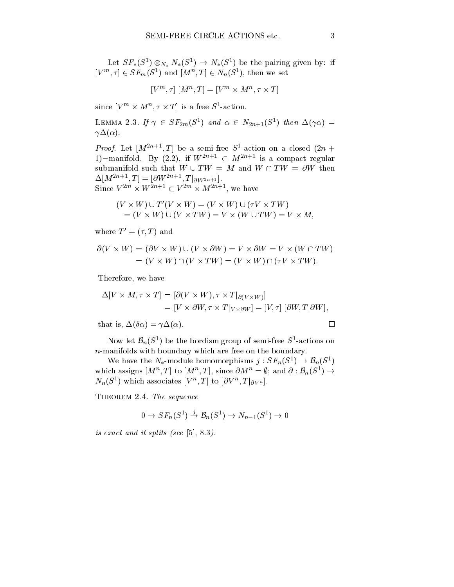Let  $ST_*(S^-) \otimes_{N_*} N_*(S^-) \rightarrow N_*(S^-)$  be the pairing given by: if  $[V^m, \tau] \in \overline{SF}_m(S^1)$  and  $[M^n, T] \in N_n(S^1)$ , then we set

$$
[V^m, \tau] [M^n, T] = [V^m \times M^n, \tau \times T]
$$

since  $|V|^m \times M^m$ ,  $\tau \times I$  is a free  $S^*$ -action.

LEMMA 2.3. If  $\gamma \in ST_{2m}(S^{\perp})$  and  $\alpha \in N_{2n+1}(S^{\perp})$  then  $\Delta(\gamma\alpha)$  =  $\gamma\Delta(\alpha)$ .

*Proof.* Let  $|M^{2n+1}, I|$  be a semi-free  $S$ -action on a closed  $\{2n +$ 1)-manifold. By (2.2), if  $W^{2n+1} \subset M^{2n+1}$  is a compact regular submanifold such that  $W \cup TW = M$  and  $W \cap TW = \partial W$  then  $\Delta[M^{-1}, 1] \equiv [OW^{-1}, 1]_{\partial W^{2n+1}}.$ Since  $V^{-m} \times W^{-m+1} \subseteq V^{-m} \times M^{-m+1}$ , we have

$$
(V \times W) \cup T'(V \times W) = (V \times W) \cup (\tau V \times TW)
$$
  
= (V \times W) \cup (V \times TW) = V \times (W \cup TW) = V \times M,

where  $T' = (\tau, T)$  and

$$
\partial(V \times W) = (\partial V \times W) \cup (V \times \partial W) = V \times \partial W = V \times (W \cap TW)
$$
  
= (V \times W) \cap (V \times TW) = (V \times W) \cap (\tau V \times TW).

Therefore, we have

$$
\Delta[V \times M, \tau \times T] = [\partial(V \times W), \tau \times T|_{\partial(V \times W)}]
$$
  
= 
$$
[V \times \partial W, \tau \times T|_{V \times \partial W}] = [V, \tau] [\partial W, T| \partial W],
$$

that is,  $\Delta(\delta \alpha) = \gamma \Delta(\alpha)$ .

 $\Box$ 

Now let  $D_n(\mathcal{S}^*)$  be the bordism group of semi-free  $\mathcal{S}^*$ -actions on n-manifolds with boundary which are free on the boundary. Now let  $\mathcal{B}_n(S^1)$  be the bordism group of semi-free  $S^1$ -actions on<br>aanifolds with boundary which are free on the boundary.<br>We have the  $N_*$ -module homomorphisms  $j: SF_n(S^1) \rightarrow \mathcal{B}_n(S^1)$ 

which assigns  $|M^{\alpha}, I|$  to  $|M^{\alpha}, I|$ , since  $OM^{\alpha} = \emptyset$ ; and  $O: \mathcal{D}_n(\mathcal{S}^{\alpha}) \rightarrow$  $N_n(\mathcal{S}^*)$  which associates  $|V|^n$ ,  $I |$  to  $|OV^n$ ,  $I |_{\partial V^n}$ .

THEOREM 2.4. The sequence

4. The sequence  

$$
0 \to SF_n(S^1) \xrightarrow{j} \mathcal{B}_n(S^1) \to N_{n-1}(S^1) \to 0
$$

is exact and it splits (see [5], 8.3).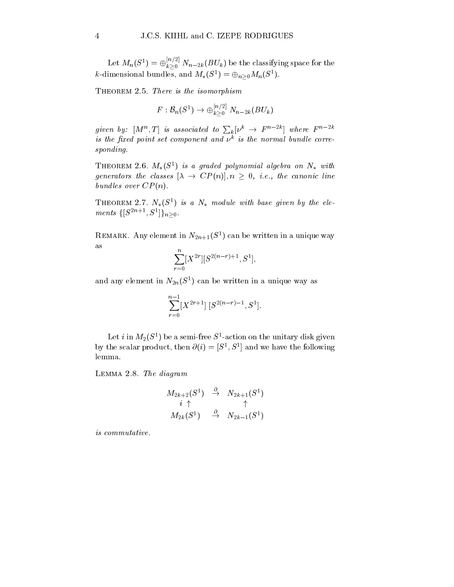Let  $M_n(S^1) = \bigoplus_{k\geq 0} N_{n-2k}(BU_k)$  be the classifying space for the  $\kappa$ -dimensional bundles, and  $M_*(S^+) = \bigoplus_{n>0} M_n(S^-)$ .

Theorem 2.5. The isomorphism is the isomorphism.

There is the isomorphism  
\n
$$
F: \mathcal{B}_n(S^1) \to \bigoplus_{k \geq 0}^{[n/2]} N_{n-2k}(BU_k)
$$

given by:  $[M^n,T]$  is associated to  $\sum_{k} [\nu^k \to F^{n-2k}]$  where  $F^{n-2k}$  $\it{is}$  the  $\it{n}xa$  point set component and  $\nu^-$  is the normal bundle corresponding.

**THEOREM 2.6.**  $M_*(S^-)$  is a graded polynomial algebra on  $N_*$  with generators the classes  $[\lambda \to CP(n)], n > 0, i.e., the canonic line$ bundles over  $CP(n)$ .

**THEOREM 2.1.**  $N_*(S^-)$  is a  $N_*$  module with base given by the elements  $\{|S^{\perp}|\colon S^{\perp}|\}_{n>0}$ .

REMARK. Any element in  $N_{2n+1}(\mathcal{S}_1)$  can be written in a unique way

$$
\sum_{r=0}^n [X^{2r}] [S^{2(n-r)+1},S^1],
$$

and any element in  $N_{2n}(\mathcal{S}_{-})$  can be written in a unique way as

$$
\sum_{r=0}^{n-1} [X^{2r+1}] [S^{2(n-r)-1}, S^1].
$$

Let  $i$  in  $M_2(\mathcal{S}_1)$  be a semi-free  $\mathcal{S}_1$  -action on the unitary disk given by the scalar product, then  $\mathcal{O}(i) = |\mathcal{S}^{\perp}, \mathcal{S}^{\perp}|$  and we have the following lemma.

Lemma 2.8. The diagram

$$
\begin{array}{ccc}M_{2k+2}(S^1)&\stackrel{\partial}{\to}&N_{2k+1}(S^1)\\&i\uparrow&&\uparrow\\ M_{2k}(S^1)&\stackrel{\partial}{\to}&N_{2k-1}(S^1)\\ \end{array}
$$

is commutative.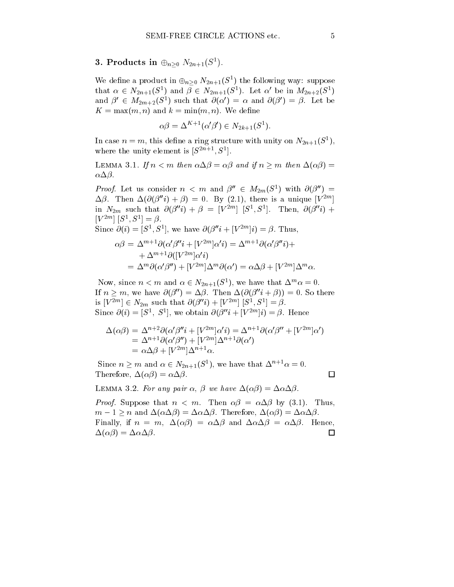3. Products in  $\oplus_{n>0} N_{2n+1}(S^1)$ .

We define a product in  $\bigoplus_{n>0} N_{2n+1}(\mathcal{S}^n)$  the following way: suppose that  $\alpha \in N_{2n+1}(\mathcal{S}^{\dagger})$  and  $\beta \in N_{2m+1}(\mathcal{S}^{\dagger})$ . Let  $\alpha$  be in  $M_{2n+2}(\mathcal{S}^{\dagger})$ and  $\rho$   $\in$   $M_{2m+2}(\mathcal{S}^{\text{-}})$  such that  $\mathcal{O}(\alpha) = \alpha$  and  $\mathcal{O}(\beta) = \beta$ . Let be  $K = \max(m, n)$  and  $k = \min(m, n)$ . We define

$$
\alpha\beta = \Delta^{K+1}(\alpha'\beta') \in N_{2k+1}(S^1).
$$

In case  $n = m$ , this define a ring structure with unity on  $N_{2n+1}(\mathcal{S}_1)$ , where the unity element is  $|S^{++}, S^*|$ .

LEMMA 3.1. If  $n < m$  then  $\alpha \Delta \beta = \alpha \beta$  and if  $n \geq m$  then  $\Delta(\alpha \beta) =$  $\alpha\Delta\beta$ .

*Proof.* Let us consider  $n \leq m$  and  $p \in M_2(m, S^-)$  with  $O(p) =$  $\Delta \beta$ . Then  $\Delta(\partial(\beta''i) + \beta) = 0$ . By (2.1), there is a unique  $[V^{2m}]$ **In the contract of the contract of the contract of the contract of the contract of the contract of the contract of the contract of the contract of the contract of the contract of the contract of the contract of the contra** in  $N_{2m}$  such that  $\mathcal{O}(\beta^{-i}) + \beta = |V^{-i}| |\mathcal{S}^{\dagger}, \mathcal{S}^{\dagger}|$ . Then,  $\mathcal{O}(\beta^{-i}) +$  $|V|$   $|S|$  ,  $S$   $|S|$ .

Since 
$$
\partial(i) = [S^1, S^1]
$$
, we have  $\partial(\beta''i + [V^{2m}]i) = \beta$ . Thus,  
\n
$$
\alpha\beta = \Delta^{m+1}\partial(\alpha'\beta''i + [V^{2m}]\alpha'i) = \Delta^{m+1}\partial(\alpha'\beta''i) +
$$
\n
$$
+ \Delta^{m+1}\partial([V^{2m}]\alpha'i)
$$
\n
$$
= \Delta^m\partial(\alpha'\beta'') + [V^{2m}]\Delta^m\partial(\alpha') = \alpha\Delta\beta + [V^{2m}]\Delta^m\alpha.
$$

Now, since  $n < m$  and  $\alpha \in N_{2n+1}(S)$ , we have that  $\Delta^{\cdots} \alpha = 0$ . If  $n \geq m$ , we have  $\partial(\beta'') = \Delta \beta$ . Then  $\Delta(\partial(\beta''i + \beta)) = 0$ . So there is  $|V^{2m}| \in N_{2m}$  such that  $\mathcal{O}(p^m) + |V^{2m}| |\mathcal{S}^*, \mathcal{S}^*| = p$ . Since  $\mathcal{O}(i) = |\mathcal{S}^{\dagger}, \mathcal{S}^{\dagger}|$ , we obtain  $\mathcal{O}(p_i i + |V^{\dagger}i|) = p$ . Hence

$$
\Delta(\alpha \beta) = \Delta^{n+2} \partial(\alpha' \beta'' i + [V^{2m}] \alpha' i) = \Delta^{n+1} \partial(\alpha' \beta'' + [V^{2m}] \alpha')
$$
  
=  $\Delta^{n+1} \partial(\alpha' \beta'') + [V^{2m}] \Delta^{n+1} \partial(\alpha')$   
=  $\alpha \Delta \beta + [V^{2m}] \Delta^{n+1} \alpha$ .

Since  $n \geq m$  and  $\alpha \in N_{2n+1}(\mathcal{S}^*)$ , we have that  $\Delta^{n+1} \alpha = 0$ . Therefore,  $\Delta(\alpha\beta) = \alpha\Delta\beta$ .

 $\Box$ 

LEMMA 3.2. For any pair  $\alpha$ ,  $\beta$  we have  $\Delta(\alpha\beta) = \Delta\alpha\Delta\beta$ .

*Proof.* Suppose that  $n < m$ . Then  $\alpha\beta = \alpha\Delta\beta$  by (3.1). Thus,  $m-1 \geq n$  and  $\Delta(\alpha \Delta \beta) = \Delta \alpha \Delta \beta$ . Therefore,  $\Delta(\alpha \beta) = \Delta \alpha \Delta \beta$ . Finally, if  $n = m$ ,  $\Delta(\alpha \beta) = \alpha \Delta \beta$  and  $\Delta \alpha \Delta \beta = \alpha \Delta \beta$ . Hence,  $\Delta(\alpha\beta) = \Delta\alpha\Delta\beta.$  $\Box$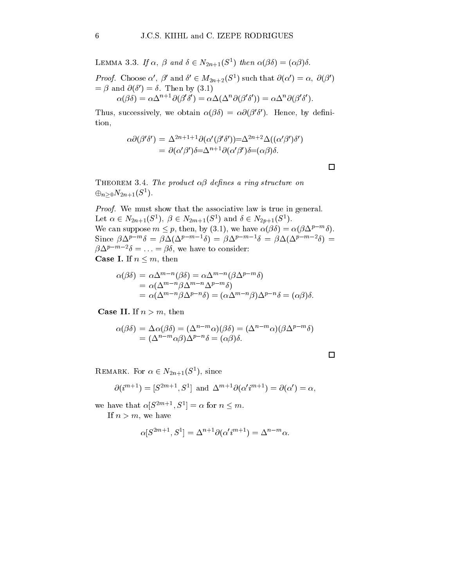**LEMMA** 3.3. If  $\alpha$ ,  $\beta$  and  $\delta \in N_{2n+1}(\mathcal{S}^*)$  then  $\alpha(\beta \delta) = (\alpha \beta) \delta$ . *Proof.* Choose  $\alpha$ ,  $\rho$  and  $\sigma \in M_{2n+2}(\mathcal{S}^*)$  such that  $o(\alpha) = \alpha$ ,  $o(\rho)$  $=$   $\beta$  and  $\theta$ ( $\theta$ )  $=$   $\theta$ . Then by (3.1)  $\alpha(\beta\delta) = \alpha\Delta^{\cdots}$   $\delta(\beta\delta) = \alpha\Delta(\Delta^{\cdots}\delta(\beta\delta)) = \alpha\Delta^{\cdots}\delta(\beta\delta)$ .

I fit is a successively, we obtain  $\alpha(\rho\sigma) = \alpha\sigma(\rho\sigma)$ . Hence, by definition,

$$
\alpha \partial(\beta' \delta') = \Delta^{2n+1+1} \partial(\alpha'(\beta' \delta')) = \Delta^{2n+2} \Delta((\alpha' \beta') \delta')
$$
  
=  $\partial(\alpha' \beta') \delta = \Delta^{n+1} \partial(\alpha' \beta') \delta = (\alpha \beta) \delta.$ 

 $\Box$ 

THEOREM 3.4. The product  $\alpha\beta$  defines a ring structure on  $\bigoplus_{n>0} N_{2n+1}(\mathcal{S}^{-})$ .

Proof. We must show that the associative law is true in general. Let  $\alpha \in N_{2n+1}(\mathcal{S}^-), \ \beta \in N_{2m+1}(\mathcal{S}^-)$  and  $\theta \in N_{2n+1}(\mathcal{S}^-).$ we can suppose  $m \leq p$ , then, by (3.1), we have  $\alpha(p_0) = \alpha(p\Delta^{r-m}0)$ . SINCE  $D\Delta^i = 0 = D\Delta(\Delta^i = 0) = D\Delta^i = 0 = D\Delta(\Delta^i = 0) = 0$  $\beta \Delta^{p-m-2} \delta = \ldots = \beta \delta$ , we have to consider: **Case I.** If  $n \leq m$ , then

$$
\alpha(\beta\delta) = \alpha \Delta^{m-n}(\beta\delta) = \alpha \Delta^{m-n}(\beta \Delta^{p-m}\delta)
$$
  
=  $\alpha(\Delta^{m-n}\beta \Delta^{m-n}\Delta^{p-m}\delta)$   
=  $\alpha(\Delta^{m-n}\beta \Delta^{p-n}\delta) = (\alpha \Delta^{m-n}\beta)\Delta^{p-n}\delta = (\alpha\beta)\delta.$ 

**Case II.** If  $n > m$ , then

$$
\alpha(\beta\delta) = \Delta\alpha(\beta\delta) = (\Delta^{n-m}\alpha)(\beta\delta) = (\Delta^{n-m}\alpha)(\beta\Delta^{p-m}\delta)
$$
  
=  $(\Delta^{n-m}\alpha\beta)\Delta^{p-n}\delta = (\alpha\beta)\delta$ .

REMARK. FOR  $\alpha \in N_{2n+1}(\mathcal{S}^{\dagger})$ , since

$$
\partial(i^{m+1}) = [S^{2m+1}, S^1] \text{ and } \Delta^{m+1}\partial(\alpha'i^{m+1}) = \partial(\alpha') = \alpha,
$$

we have that  $\alpha | S^{2m+1}$ ,  $S^{-1} = \alpha$  for  $n \leq m$ .

If  $n>m$ , we have

$$
\alpha[S^{2m+1}, S^1] = \Delta^{n+1} \partial(\alpha' i^{m+1}) = \Delta^{n-m} \alpha.
$$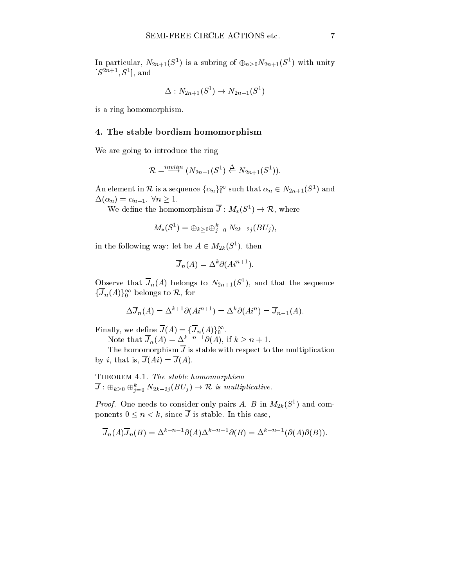In particular,  $N_{2n+1}(\mathcal{S}^*)$  is a subring of  $\oplus_{n>0}N_{2n+1}(\mathcal{S}^*)$  with unity  $|S^{--} \rangle$ ,  $|S^-|$ , and

$$
\Delta:N_{2n+1}(S^1)\rightarrow N_{2n-1}(S^1)
$$

is a ring homomorphism.

### 4. The stable bordism homomorphism

We are going to introduce the ring

$$
\mathcal{R}=\overset{invlim}{\longrightarrow} (N_{2n-1}(S^1)\overset{\Delta}{\leftarrow} N_{2n+1}(S^1)).
$$

An element in  $\mathcal{R}$  is a sequence  $\{\alpha_n\}_0^{\infty}$  such that  $\alpha_n \in N_{2n+1}(S^1)$  and<br>  $\Delta(\alpha_n) = \alpha_{n-1}, \ \forall n \ge 1.$ <br>
We define the homomorphism  $\overline{J}: M_*(S^1) \to \mathcal{R}$ , where  $\Delta(\alpha_n) = \alpha_{n-1}, \ \forall n \geq 1.$ 

We define the homomorphism  $\overline{J}: M_*(S^1) \to \mathcal{R}$ , where

$$
M_*(S^1) = \oplus_{k \geq 0} \oplus_{j=0}^k \ N_{2k-2j}(BU_j),
$$

in the following way: let be  $A \in M_{2k}(S^+)$ , then

$$
\overline{J}_n(A) = \Delta^k \partial (Ai^{n+1}).
$$

Observe that  $J_n(A)$  belongs to  $N_{2n+1}(\mathcal{S}_1)$ , and that the sequence  $\{J_n(A)\}\$ <sup>1</sup> belongs to  $\kappa$ , for

$$
\Delta \overline{J}_n(A) = \Delta^{k+1} \partial (Ai^{n+1}) = \Delta^k \partial (Ai^n) = \overline{J}_{n-1}(A).
$$

Finally, we define  $J(A) \equiv \{J_n(A)\}\$ <sub>0</sub>.

Note that  $J_n(A)=\Delta^{n-1}-O(A)$ , if  $k \geq n + 1$ .

The homomorphism  $\overline{J}$  is stable with respect to the multiplication by *i*, that is,  $\overline{J}(Ai) = \overline{J}(A)$ .

THEOREM 4.1. The stable homomorphism THEOREM 4.1. The stable homomorphism<br>  $\overline{J}$ :  $\oplus_{k>0} \oplus_{i=0}^k N_{2k-2j}(BU_j) \rightarrow \mathcal{R}$  is multiplicative.

*Proof.* One needs to consider only pairs  $A$ ,  $B$  in  $M_2$ <sub>k</sub>( $S^{\dagger}$ ) and components  $0 \leq n < k$ , since  $\overline{J}$  is stable. In this case,

$$
\overline{J}_n(A)\overline{J}_n(B) = \Delta^{k-n-1}\partial(A)\Delta^{k-n-1}\partial(B) = \Delta^{k-n-1}(\partial(A)\partial(B)).
$$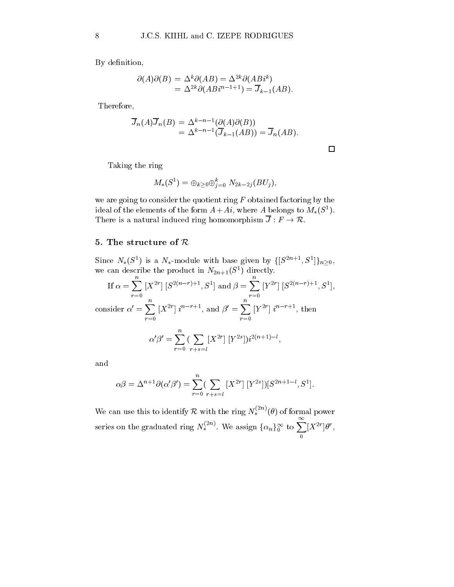By definition,

$$
\partial(A)\partial(B) = \Delta^k \partial(AB) = \Delta^{2k} \partial(AB)^k
$$
  
= 
$$
\Delta^{2k} \partial(AB)^{n-1+1} = \overline{J}_{k-1}(AB).
$$

Therefore,

$$
\overline{J}_n(A)\overline{J}_n(B) = \Delta^{k-n-1}(\partial(A)\partial(B))
$$
  
=  $\Delta^{k-n-1}(\overline{J}_{k-1}(AB)) = \overline{J}_n(AB).$ 

 $\Box$ 

Taking the ring

$$
M_*(S^1) = \oplus_{k \geq 0} \oplus_{j=0}^k \ N_{2k-2j}(BU_j),
$$

we are going to consider the quotient ring  $F$  obtained factoring by the ideal of the elements of the form  $A+At$ , where A belongs to  $M_*(S_1)$ . There is a natural induced ring homomorphism  $\overline{J}: F \to \mathcal{R}$ .

## 5. The structure of  $\mathcal R$

Since  $N_*(S^-)$  is a  $N_*$ -module with base given by  $\{S^{2n+1}, S^-\}\}$ we can describe the product in  $N_{2n+1}(\mathcal{S}^-)$  directly.

If 
$$
\alpha = \sum_{r=0}^{n} [X^{2r}] [S^{2(n-r)+1}, S^1]
$$
 and  $\beta = \sum_{r=0}^{n} [Y^{2r}] [S^{2(n-r)+1}, S^1]$ ,  
consider  $\alpha' = \sum_{r=0}^{n} [X^{2r}] i^{n-r+1}$ , and  $\beta' = \sum_{r=0}^{n} [Y^{2r}] i^{n-r+1}$ , then

$$
\alpha' \beta' = \sum_{r=0}^{n} \left( \sum_{r+s=l} [X^{2r}] [Y^{2s}] \right) i^{2(n+1)-l},
$$

and

$$
\alpha \beta = \Delta^{n+1} \partial(\alpha' \beta') = \sum_{r=0}^{n} \left( \sum_{r+s=l} [X^{2r}] [Y^{2s}] \right) [S^{2n+1-l}, S^1].
$$

We can use this to identify R with the ring  $N_*^{\text{env}}(\theta)$  of formal power series on the graduated ring  $N_*^{(2n)}$ . We assign  $\{\alpha_n\}_0^{\infty}$  to  $\sum_{n=1}^{\infty} [X^{2r}] \theta^r$ ,  $|X^-|\theta$ ,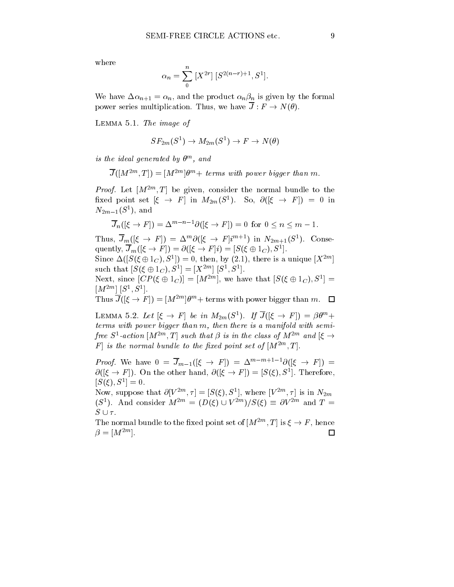where

$$
\alpha_n = \sum_{0}^{n} [X^{2r}] [S^{2(n-r)+1}, S^1].
$$

We have  $\Delta \alpha_{n+1} = \alpha_n$ , and the product  $\alpha_n \beta_n$  is given by the formal power series multiplication. Thus, we have  $\overline{J}: F \to N(\theta)$ .

Lemma 5.1. The image of

$$
SF_{2m}(S^1) \to M_{2m}(S^1) \to F \to N(\theta)
$$

is the ideal generated by  $\sigma^{\ldots}$  and

$$
\overline{J}([M^{2m},T])=[M^{2m}]\theta^m+ \text{ terms with power bigger than } m.
$$

*Proof.* Let  $|M^{2m}, I|$  be given, consider the normal bundle to the fixed point set  $|\xi| \to |I|$  in  $M_{2m}(S^{\dagger})$ . So,  $\mathcal{O}(|\xi| \to |I|) = 0$  in  $N_{2m-1}$ ( $\sigma$ ), and

$$
\overline{J}_n([\xi \to F]) = \Delta^{m-n-1} \partial([\xi \to F]) = 0 \text{ for } 0 \le n \le m-1.
$$

I fits,  $J_m(|\zeta \to I'|) = \Delta^m \mathcal{O}(|\zeta \to I'|^{n+1})$  in  $N_{2m+1}(\mathcal{S})$ . Consequently,  $J_m(|\zeta \to F|) = O(|\zeta \to F|i) = |S(\zeta \oplus 1_C), S^*|.$ 

Since  $\Delta(|S(\xi \oplus 1C), S^*|) = 0$ , then, by (2.1), there is a unique  $|X^{**}|$ and the contract of the contract of the contract of the contract of the contract of the contract of such that  $|\mathcal{S}(\xi \oplus 1_C), \mathcal{S}^{\perp}| = |\mathcal{A}^{\perp}|| |\mathcal{S}^{\perp}, \mathcal{S}^{\perp}|.$ 

Next, since  $|CF(\xi \oplus I_C)| = |M^{-1}|$ , we have that  $|\mathcal{S}(\xi \oplus I_C), \mathcal{S}^*| =$  $|M^{\text{min}}|$   $|S^{\text{max}}, S^{\text{min}}|$ .

I has  $J(|\xi \to I|) = |M|$  for  $\theta$  + terms with power bigger than m.

LEMMA 5.2. Let  $|\xi \to F|$  be in  $M_{2m}(S^+)$ . If  $J(|\xi \to F|) = \beta \theta^m +$ terms with power bigger than m, then there is a manifold with semifree  $S^-$ -action  $|M^{--}, I|$  such that p is in the class of  $M^{--}$  and  $|\zeta| \rightarrow$  $F \, | \,$  is the normal vunate to the fixed point set of  $|M^{2m+1},1|$  .

*Proof.* We have  $0 = J_{m-1}(|\zeta \rightarrow F|) = \Delta^{m-m+1} |O(|\zeta \rightarrow F|) =$  $\mathcal{O}(|\zeta \to F|)$ . On the other hand,  $\mathcal{O}(|\zeta \to F|) \equiv |\mathcal{S}(\zeta)|$ ,  $\mathcal{S}^*|$ . Therefore,  $[S(\xi), S^1] = 0.$ ] = 0.

Now, suppose that  $O[V^{-1}, T] \equiv [S(\zeta), S^{-}],$  where  $[V^{-1}, T]$  is in  $N_{2m}$ (S<sup>2</sup>). And consider  $M^{2m} \equiv (D(\zeta) \cup V^{2m})/\mathcal{S}(\zeta) = 0V^{2m}$  and  $T =$  $S \cup \tau$ .

I he normal bundle to the fixed point set of  $|M^{2m}, I|$  is  $\xi \to I$ , hence  $\Box$  $\rho = |\mathbf{M}|$ .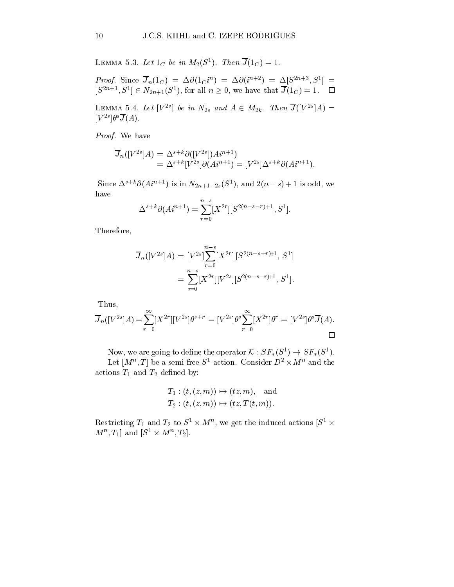LEMMA 5.3. Let  $1_C$  be in  $M_2(S^-)$ . Then  $J(1_C) = 1$ .

Proof. Since  $J_n(1_C) = \Delta O(1_C T) = \Delta O(T^{n+2}) = \Delta |S^{2n+2}, S^2| =$  $|S^{2n+1}, S^*| \in N_{2n+1}(S^*),$  for all  $n \geq 0$ , we have that  $J(1_C) = 1$ .  $\Box$ 

LEMMA 5.4. Let  $|V^{-1}|$  be in  $N_{2s}$  and  $A \in M_{2k}$ . Then  $J(|V^{-1}|A) =$  $|V - |U' J(A)|$ .

Proof. We have

$$
\overline{J}_n([V^{2s}]A) = \Delta^{s+k}\partial([V^{2s}])Ai^{n+1})
$$
  
= 
$$
\Delta^{s+k}[V^{2s}]\partial(Ai^{n+1}) = [V^{2s}]\Delta^{s+k}\partial(Ai^{n+1}).
$$

Since  $\Delta^{1+\alpha}O(A^{n+\beta})$  is in  $N_{2n+1-2s}(\mathcal{S}^{\alpha})$ , and  $Z(n-s)+1$  is odd, we have

$$
\Delta^{s+k}\partial(A^{n+1}) = \sum_{r=0}^{n-s} [X^{2r}][S^{2(n-s-r)+1}, S^1].
$$

Therefore,

$$
\overline{J}_n([V^{2s}]A) = [V^{2s}] \sum_{r=0}^{n-s} [X^{2r}] [S^{2(n-s-r)+1}, S^1]
$$
  
= 
$$
\sum_{r=0}^{n-s} [X^{2r}] [V^{2s}] [S^{2(n-s-r)+1}, S^1].
$$

Thus,

$$
\overline{J}_n([V^{2s}]A) = \sum_{r=0}^{\infty} [X^{2r}][V^{2s}] \theta^{s+r} = [V^{2s}] \theta^s \sum_{r=0}^{\infty} [X^{2r}] \theta^r = [V^{2s}] \theta^s \overline{J}(A).
$$

Now, we are going to define the operator  $\mathcal{N}: \mathcal{SF}_*(\mathcal{S}^+) \to \mathcal{SF}_*(\mathcal{S}^+).$ Let  $|M^-, I|$  be a semi-free  $S^-$ -action. Consider  $D^- \times M^-$  and the actions  $T_1$  and  $T_2$  defined by:

$$
T_1: (t,(z,m)) \mapsto (tz,m), \quad \text{and} \quad
$$
  

$$
T_2: (t,(z,m)) \mapsto (tz,T(t,m)).
$$

Restricting  $T_1$  and  $T_2$  to  $S^1 \times M^{\alpha}$ , we get the induced actions  $S^1 \times$  $[M^-, I_1]$  and  $S^- \times M^-, I_2]$ .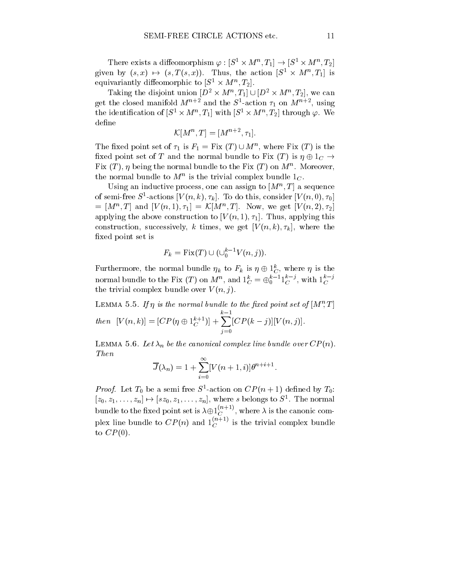There exists a diffeomorphism  $\varphi : [S^1 \times M^n, I_1] \to [S^1 \times M^n, I_2]$ given by  $(s, x) \mapsto (s, I(s, x))$ . Thus, the action  $|S^* \times M^*, I_1|$  is equivariantly diffeomorphic to  $|S^- \times M^+, I_2|$ .

Taking the disjoint union  $|D^* \times M^*, I_1| \cup |D^* \times M^*, I_2|$ , we o  $\mathbf{y} = \mathbf{z}$  , we can construct the case of  $\mathbf{z}$ get the closed manifold  $M_2$  and the S-action  $\tau_1$  on  $M_2$ , using the identification of  $[S^* \times M^c, T_1]$  with  $[S^* \times M^c, T_2]$  through  $\varphi$ . We define

 $\mathcal{N}[M_-,1] = |M_-,T_1|.$ 

The fixed point set of  $\tau_1$  is  $r_1 = r_1x$  (T)  $\cup$  M<sup>n</sup>, where Fix (T) is the fixed point set of T and the normal bundle to Fix  $(T)$  is  $\eta \oplus 1_C \rightarrow$  $\Gamma$  ix  $(T)$ ,  $\eta$  being the normal bundle to the  $\Gamma$  ix  $(T)$  on  $M$  . Moreover, the normal bundle to  $M$  is the trivial complex bundle  $1_C$ .

Using an inductive process, one can assign to  $|M|$ ,  $I$  a sequence of semi-free  $S$ -actions  $|V(n, \kappa), \tau_k|$ . To do this, consider  $|V(n, 0), \tau_0|$  $= |M^{\circ}, I|$  and  $|V(n, 1), \tau_1| = \mathcal{N}[M^{\circ}, I]$ . Now, we get  $|V(n, 2), \tau_2|$ applying the above construction to  $[V(n, 1), \tau_1]$ . Thus, applying this construction, successively, k times, we get  $[V(n, k), \tau_k]$ , where the xed point set is

$$
F_k = \text{Fix}(T) \cup (\cup_0^{k-1} V(n,j)).
$$

Furthermore, the normal bundle  $\eta_k$  to  $F_k$  is  $\eta \oplus \Gamma_C^c$ , where  $\eta$  is the normal bundle to the Fix  $(T)$  on  $M^n$ , and  $1_C^c = \bigoplus_{0}^{n-1} 1_C^c$  , with  $1_C^c$ the trivial complex bundle over  $V(n, j)$ .

LEMMA 5.5. If  $\eta$  is the normal bundle to the fixed point set of  $|M$  ; 1  $\mathit{then} \quad [V(n,k)] = [CP(\eta \oplus 1_{\mathbb{C}})] + \sum [CP(k-1)]$  $\blacksquare$  $[C\Gamma(K = 1) || V(R, 1)].$ 

LEMMA 5.6. Let  $\lambda_n$  be the canonical complex line bundle over  $CP(n)$ . Then

$$
\overline{J}(\lambda_n) = 1 + \sum_{i=0}^{\infty} [V(n+1, i)] \theta^{n+i+1}.
$$

*Proof.* Let  $I_0$  be a semi-free  $S$ -action on  $CF(n+1)$  defined by  $I_0$ :  $|z_0, z_1, \ldots, z_n| \mapsto |sz_0, z_1, \ldots, z_n|$ , where s belongs to  $S^{\text{-}}$ . The normal bundle to the fixed point set is  $\lambda \oplus 1_C^{\infty++}$ , where  $\lambda$  is the canonic complex line bundle to  $CP(n)$  and  $1_C$   $\rightarrow$  1s the trivial complex bundle to  $CP(0)$ .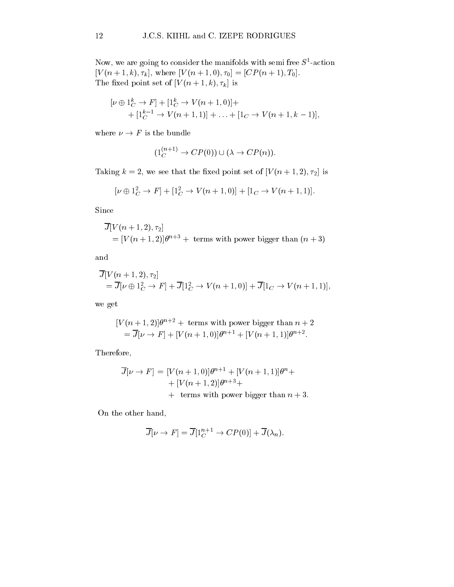Now, we are going to consider the manifolds with semi-free  $S$ -action  $[V(n+1, k), \tau_k],$  where  $[V(n+1, 0), \tau_0] = [CP(n+1), T_0].$ The fixed point set of  $[V(n+1, k), \tau_k]$  is

$$
[\nu \oplus 1_C^k \to F] + [1_C^k \to V(n+1,0)] +
$$
  
+ 
$$
[1_C^{k-1} \to V(n+1,1)] + \ldots + [1_C \to V(n+1,k-1)],
$$

where  $\nu \rightarrow F$  is the bundle

$$
(1_C^{(n+1)} \to CP(0)) \cup (\lambda \to CP(n)).
$$

Taking  $k = 2$ , we see that the fixed point set of  $[V(n + 1, 2), \tau_2]$  is

$$
[\nu \oplus 1_C^2 \to F] + [1_C^2 \to V(n+1,0)] + [1_C \to V(n+1,1)].
$$

Since

$$
\overline{J}[V(n+1,2),\tau_2] \\
= [V(n+1,2)]\theta^{n+3} + \text{ terms with power bigger than } (n+3)
$$

and

$$
\overline{J}[V(n+1,2),\tau_2] \n= \overline{J}[\nu \oplus 1_C^2 \to F] + \overline{J}[1_C^2 \to V(n+1,0)] + \overline{J}[1_C \to V(n+1,1)],
$$

we get

$$
[V(n+1,2)]\theta^{n+2} + \text{ terms with power bigger than } n+2
$$
  
=  $\overline{J}[\nu \rightarrow F] + [V(n+1,0)]\theta^{n+1} + [V(n+1,1)]\theta^{n+2}.$ 

Therefore,

$$
\overline{J}[\nu \to F] = [V(n+1,0)]\theta^{n+1} + [V(n+1,1)]\theta^n +
$$
  
+ 
$$
[V(n+1,2)]\theta^{n+3} +
$$
  
+ terms with power bigger than  $n+3$ .

On the other hand,

$$
\overline{J}[\nu \to F] = \overline{J}[1_C^{n+1} \to CP(0)] + \overline{J}(\lambda_n).
$$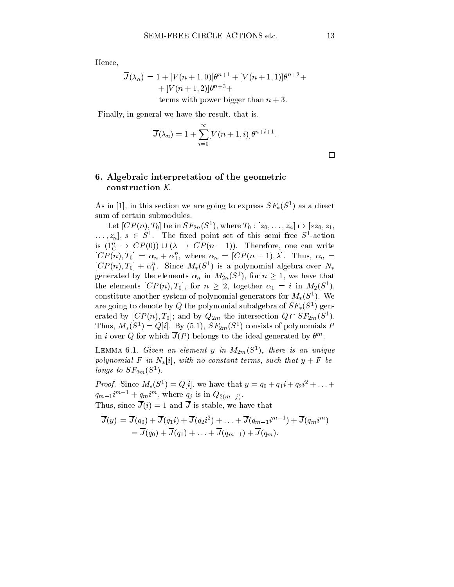Hence,

$$
\overline{J}(\lambda_n) = 1 + [V(n+1,0)]\theta^{n+1} + [V(n+1,1)]\theta^{n+2} +
$$
  
+ 
$$
[V(n+1,2)]\theta^{n+3} +
$$
  
terms with power bigger than  $n+3$ .

Finally, in general we have the result, that is,

$$
\overline{J}(\lambda_n) = 1 + \sum_{i=0}^{\infty} [V(n+1,i)] \theta^{n+i+1}.
$$

terms with power bigger than n + 3:

6. Algebraic interpretation of the geometric construction <sup>K</sup>

As in [1], in this section we are going to express  $5F_*(5^-)$  as a direct sum of certain submodules.

Let  $|CF(n), I_0|$  be in  $5F_{2n}(5)$ , where  $I_0: |z_0, \ldots, z_n| \mapsto |sz_0, z_1,$  $\ldots, z_n$ ,  $s \in S^*$ . The fixed point set of this semi-free  $S^-$ -action is  $(1_C^n \rightarrow CP(0))\cup(\lambda \rightarrow CP(n - 1))$ . Therefore, one can write  $[CP(n), I_0] = \alpha_n + \alpha_1$ , where  $\alpha_n = [CF(n-1), \lambda]$ . Thus,  $\alpha_n =$  $[CF(n), I_0] + \alpha_1$ . Since  $M_*(S)$  is a polynomial algebra over  $N_*$ generated by the elements  $\alpha_n$  in  $M_{2n}(S^+)$ , for  $n \geq 1$ , we have that the elements  $|CF(n), I_0|$ , for  $n \geq 2$ , together  $\alpha_1 = i$  in  $M_2(\mathcal{S}^*)$ , constitute another system of polynomial generators for  $M_*(S^-)$ . We are going to denote by  $Q$  the polynomial subalgebra of  $\mathcal{SF}_{*}(\mathcal{S}^{+})$  generated by  $|CP(n), I_0|$ ; and by  $Q_{2m}$  the intersection  $Q \sqcup SP_{2m}(S^{\perp}).$ I mus,  $M_*(S^-) = Q[i]$ . By (5.1),  $ST_{2m}(S^-)$  consists of polynomials P in i over Q for which  $\overline{J}(P)$  belongs to the ideal generated by  $\theta^m$ .

LEMMA 6.1. Given an element y in  $M_{2m}(S^1)$ , there is an unique polynomial F in  $N_*[i]$ , with no constant terms, such that  $y + F$  betongs to  $5r_{2m}(5)$ .

*Proof.* Since  $M_*(S^-) = Q[1]$ , we have that  $y = q_0 + q_1 i + q_2 i + \ldots$  $q_{m-1}$ <sup>m</sup> +  $q_m$ <sup>m</sup>, where  $q_j$  is in  $Q_{2(m-j)}$ . Thus, since  $\overline{J}(i) = 1$  and  $\overline{J}$  is stable, we have that

$$
\overline{J}(y) = \overline{J}(q_0) + \overline{J}(q_1i) + \overline{J}(q_2i^2) + \ldots + \overline{J}(q_{m-1}i^{m-1}) + \overline{J}(q_mi^m) \n= \overline{J}(q_0) + \overline{J}(q_1) + \ldots + \overline{J}(q_{m-1}) + \overline{J}(q_m).
$$

 $\Box$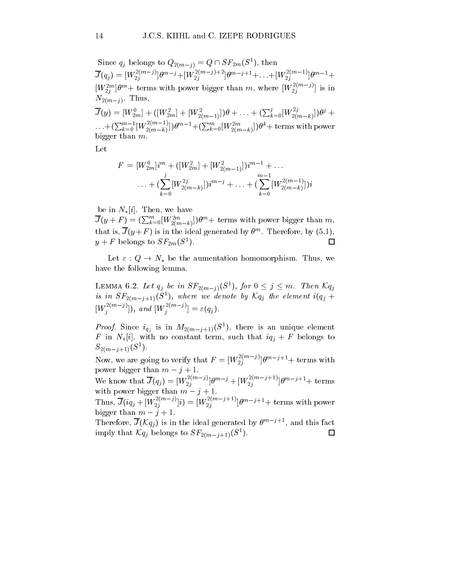Since  $q_i$  belongs to  $Q_{2(m-i)} = Q \cup \mathcal{S}F_{2m}(\mathcal{S}^{-})$ , then  $J(q_j) = [W_{2j}^{\dots}, W_{2j}^{\dots}] \theta^{m-j} + [W_{2j}^{\dots}, W_{2j}^{\dots}] \theta^{m-j+1} + \dots + [W_{2j}^{\dots}, W_{2j}^{\dots}] \theta^{m-1} +$  $|W_2^{\omega}||\theta^m +$  terms with power bigger than m, where  $|W_2^{\omega}||^2$  is in 2j 2012 - Paul Barbara, Paul Barbara, Paul Barbara, Paul Barbara, Paul Barbara, Paul Barbara, Paul Barbara, Paul  $N_{2(m-j)}$ . Thus,  $J(y)=[W_{2m}^0]+([W_{2m}^2]+[W_{2(m-1)}^2])\theta+\ldots+ (\sum_{k=0}^j [W_{2(m-k)}^{2j}])\theta^j+$  $\ldots+(\sum_{k=0}^{m-1}[W^{2(m-1)}_{2(m-k)}])\theta^{m-1}+(\sum_{k=0}^{m}[W^{2m}_{2(m-k)}])\theta^{k} +\text{terms with power}$ bigger than m.

Let

$$
F = [W_{2m}^0]i^m + ([W_{2m}^2] + [W_{2(m-1)}^2])i^{m-1} + \dots
$$
  
 
$$
\dots + (\sum_{k=0}^j [W_{2(m-k)}^2]j^{m-j} + \dots + (\sum_{k=0}^{m-1} [W_{2(m-k)}^2])i^{m-j}
$$

be in  $N_{\ast}[i]$ . Then, we have

 $J(y+F)=(\sum_{k=0}^{m}[W^{2m}_{2(m-k)}])\theta^{m}+$  terms with power bigger than m, that is,  $J(y+r)$  is in the ideal generated by  $\sigma^{\ldots}$ . Therefore, by (5.1),  $\Box$  $y + r$  belongs to  $5r_{2m}(5)$ .

Let  $\varepsilon : Q \to N_*$  be the aumentation homomorphism. Thus, we have the following lemma.

LEMMA 0.2. Let  $q_j$  be in  $\mathcal{S}F_{2(m-j)}(\mathcal{S}^{\mathcal{I}})$ , for  $0 \leq j \leq m$ . Then  $\mathcal{M}_j$ is in  $\mathcal{S}F_{2(m-j+1)}(\mathcal{S}^{-})$ , where we denote by  $\mathcal{N}q_{j}$  the element  $\imath(q_{j} + \mathcal{S}^{+})$  $[W_i^{(m-j)}],$  and  $[W_i^{(m-j)}] = \varepsilon(q_j).$ 

*Proof.* Since  $i_{q_i}$  is in  $M_{2(m-j+1)}(S^-)$ , there is an unique element F in  $N_{*}[i]$ , with no constant term, such that  $iq_j + F$  belongs to  $S_{2(m-i+1)}(S^{-})$ .

Now, we are going to verify that  $F = [W_{2j}]^{j+j}$  and  $J^{j+1}$  terms with power bigger than  $m - \gamma + 1$ .

We know that  $J(q_j) = [W_{2j}^{(m-j)}] \theta^{m-j} + [W_{2j}^{(m-j+1)}] \theta^{m-j+1}$  terms with power bigger than  $m - j + 1$ .

Thus,  $J(iq_j + [W_{2j}^{\dagger}]y) = [W_{2j}^{\dagger}]^{j+j}$  |  $\theta^{m-j+1}$  terms with power bigger than  $m - i + 1$ .

Therefore,  $\overline{J}(\mathcal{K}q_i)$  is in the ideal generated by  $\theta^{m-j+1}$ , and this fact  $\Box$ imply that  $\mathcal{M}_j$  belongs to  $\mathcal{S}F_{2(m-j+1)}(\mathcal{S}^{\dagger}).$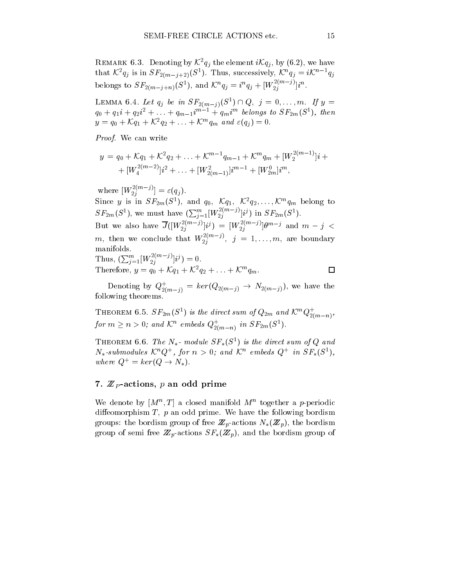REMARK 6.3. Denoting by  $\mathcal{K}^2 q_i$  the element  $i\mathcal{K}q_i$ , by (6.2), we have that  $\mathcal{N}(q_i)$  is in  $\mathcal{S}(p_{i-1}+2)$  ( $\mathcal{S}^{\dagger}$ ). Thus, successively,  $\mathcal{N}(q_i) = i\mathcal{N}^{\dagger} (q_i)$ belongs to  $SF_{2(m-j+n)}(S^1)$ , and  $\mathcal{K}^n q_j = i^n q_j + [W_{2j} - V_{-j}]i^n$ .

LEMMA 6.4. Let  $q_j$  be in  $\mathcal{S}F_{2(m-j)}(\mathcal{S}^-) \sqcup Q, \; j = 0,\ldots,m.$  If  $y = 0$  $q_0 + q_1i + q_2i + \ldots + q_{m-1}i^{m-1} + q_mt^{m}$  belongs to  $\Delta F_{2m}(\mathcal{S}^{\ast})$ , then  $y = q_0 + \mathcal{N}q_1 + \mathcal{N}q_2 + \ldots + \mathcal{N}q_m$  and  $\varepsilon(q_i) = 0$ .

Proof. We can write

$$
y = q_0 + \mathcal{K}q_1 + \mathcal{K}^2q_2 + \ldots + \mathcal{K}^{m-1}q_{m-1} + \mathcal{K}^mq_m + [W_2^{2(m-1)}]i +
$$
  
+ 
$$
[W_4^{2(m-2)}]i^2 + \ldots + [W_{2(m-1)}^2]i^{m-1} + [W_{2m}^0]i^m,
$$

where  $[W_2_i^{(m,j)}] = \varepsilon(q_j)$ . Since y is in  $5F_{2m}(5)$ , and  $q_0$ ,  $\mathcal{M}_1$ ,  $\mathcal{N}_2$ ,  $\ldots$ ,  $\mathcal{N}_m$  belong to  $SF_{2m}(S^1)$ , we must have  $(\sum_{j=1}^m [W_{2j}^{2(m-j)}]i^j)$  in  $SF_{2m}(S^1)$ . But we also have  $J([W_2_i^{\cdots}]_i^j) = [W_2^{\cdots}]_i^j e^{i m-j}$  and  $m-j <$ m, then we conclude that W2(mj) 2j ; j = 1;:::;m, are boundary Thus,  $(\sum_{j=1}^m [W_2^{2(m-j)}]i^j) = 0.$ 

Therefore, 
$$
y = q_0 + \mathcal{K}q_1 + \mathcal{K}^2q_2 + \ldots + \mathcal{K}^mq_m
$$
.

Denoting by  $Q_{2(m-j)} = \kappa e r (Q_{2(m-j)} \rightarrow N_{2(m-j)}),$  we have the following theorems.

THEOREM 6.5.  $SF_{2m}(S^2)$  is the direct sum of  $Q_{2m}$  and  $\mathcal{K}^m Q_{2(m-n)}$ , for  $m \geq n > 0$ ; and  $\mathcal{N}^*$  embeds  $Q_{2(m-n)}$  in  $\mathcal{SP}_{2m}(\mathcal{S}^*)$ .

**THEOREM 6.6.** The  $N_*$ - module  $5r_*(5^-)$  is the direct sum of Q and  $N_*$ -submodules  $\mathcal{N}^*Q^*$ , for  $n > 0$ ; and  $\mathcal{N}^*$  embeds  $Q^*$  in  $\mathcal{S}F_*(S^*)$ , where  $Q^+ = \text{ker}(Q \to N_*)$ .

#### $\mathbf{r}$  and prime prime prime prime prime prime prime prime prime prime prime prime prime prime prime prime prime  $\mathbf{r}$

We denote by  $|M^+, I|$  a closed manifold  $M^-$  together a p-periodic diffeomorphism  $T$ ,  $p$  an odd prime. We have the following bordism  $\alpha$ -actions the bordism  $\alpha$ -actions  $\alpha$  p-actions  $\alpha$  and  $\alpha$   $\alpha$  and  $\alpha$  $\alpha$ -are actions from  $\alpha$  p-actions  $\alpha$  ,  $\alpha$  p), and the bordism group of the bordism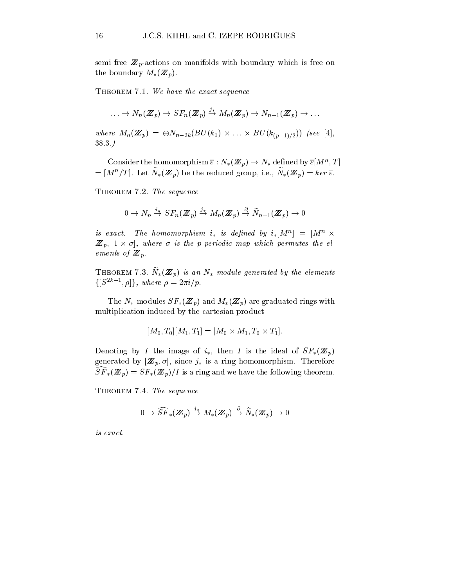semi-dimensions on  $\mu$ the boundary  $M_*(\mathbb{Z}_p)$ .

THEOREM 7.1. We have the exact sequence

$$
\ldots \to N_n(\pmb{Z}_p) \to SF_n(\pmb{Z}_p) \stackrel{\jmath_*}{\to} M_n(\pmb{Z}_p) \to N_{n-1}(\pmb{Z}_p) \to \ldots
$$

where  $M_n(\mathbb{Z}_p) = \bigoplus N_{n-2k}(BU(K_1) \times ... \times BU(K_{(p-1)/2}))$  (see [4], 38.3.)

Consider the homomorphism  $\varepsilon : N_*(\mathbf{Z}_p) \to N_*$  defined by  $\varepsilon |M^+, 1|$  $=$   $\left| M_{+}/T \right|$ . Let  $N_{*}(\mathbb{Z}_{p})$  be the reduced group, i.e.,  $N_{*}(\mathbb{Z}_{p}) = \kappa e r \varepsilon$ .

THEOREM 7.2. The sequence

$$
0\rightarrow N_n\stackrel{i_*}{\rightarrow}SF_n(\mathbf{Z}_p)\stackrel{j_*}{\rightarrow}M_n(\mathbf{Z}_p)\stackrel{\partial}{\rightarrow}\widetilde{N}_{n-1}(\mathbf{Z}_p)\rightarrow 0
$$

is exact. The nomomorphism  $i_*$  is defined by  $i_*|M^+| = |M^+ \times$  $\mathcal{Z}_{p},$  1  $\times$   $\sigma$ ], where  $\sigma$  is the p-periodic map which permutes the elements of  $\mathcal{L}$   $\mathcal{L}$  p.

**THEOREM 1.3.** IV<sub>\*</sub>( $\mathbf{Z}$  p) is an IV<sub>\*</sub>-module generated by the elements  $\{\vert \mathcal{S}^{2k-1}, \rho \vert \}$ , where  $\rho = 2\pi i/p$ .

The  $N_*$ -modules  $SF_*(\mathbb{Z}_p)$  and  $M_*(\mathbb{Z}_p)$  are graduated rings with multiplication induced by the cartesian product

$$
[M_0, T_0][M_1, T_1] = [M_0 \times M_1, T_0 \times T_1].
$$

Denoting by I the image of  $i_*$ , then I is the ideal of  $SF_*(\mathbb{Z}_p)$  $\alpha$  and the is a ring p; [Z p; ], since  $\alpha$  is a ring of the form of potential contract contract  $\alpha$  $\widehat{SF}_*(\mathbb{Z}_p) = SF_*(\mathbb{Z}_p)/I$  is a ring and we have the following theorem.

THEOREM 7.4. The sequence

$$
0 \to \widehat{SF}_*({\rm \textbf{Z}}_p) \stackrel{j_*}{\to} M_*({\rm \textbf{Z}}_p) \stackrel{\partial}{\to} \widetilde{N}_*({\rm \textbf{Z}}_p) \to 0
$$

is exact.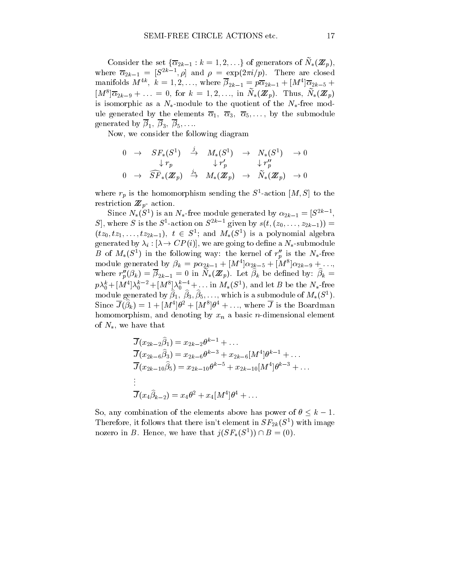Consider the set  $\{\alpha_{2k-1}: \kappa = 1, 2, \ldots\}$  of generators of  $N_*(\mathbf{Z}_p)$ , where  $\alpha_{2k-1} = |\mathcal{S}^{--}, \rho|$  and  $\rho = \exp(\frac{2\pi i}{p})$ . There are closed manifolds  $M^{\dots}$ ,  $\kappa = 1, 2, \dots$ , where  $p_{2k-1} = p\alpha_{2k-1} + [M^{\dots}]\alpha_{2k-5} +$  $|M|^{2}$   $|\alpha_{2k-9} + \ldots|$  = 0, for  $k = 1, 2, \ldots,$  in  $N_{*}(Z_{n})$ . Thus,  $N_{*}(Z_{n})$ is isomorphic as a  $N_*$ -module to the quotient of the  $N_*$ -free module generated by the elements  $\overline{\alpha}_1$ ,  $\overline{\alpha}_3$ ,  $\overline{\alpha}_5$ ,..., by the submodule generated by  $\overline{\beta}_1, \overline{\beta}_3, \overline{\beta}_5, \ldots$ 

Now, we consider the following diagram

$$
\begin{array}{ccccccccc} 0 & \to & SF_*(S^1) & \xrightarrow{\jmath} & M_*(S^1) & \to & N_*(S^1) & \to 0 \\ & & \downarrow r_p & & \downarrow r'_p & & \downarrow r''_p \\ 0 & \to & \widehat{SF}_*(\mathbb{Z}_p) & \xrightarrow{j_*} & M_*(\mathbb{Z}_p) & \to & \widetilde{N}_*(\mathbb{Z}_p) & \to 0 \end{array}
$$

where  $r_p$  is the homomorphism sending the  $S$  -action  $[M, S]$  to the restriction  $\mu$  actions.

Since  $N_*(S)$  is an  $N_*$ -free module generated by  $\alpha_{2k-1} = |S|$ ,  $S$ , where S is the S-action on S given by  $s(t, (z_0,...,z_{2k-1})) =$  $(tz_0, tz_1, \ldots, tz_{2k-1}), t \in S^*;$  and  $M_*(S^*)$  is a polynomial algebra generated by  $\lambda_i : [\lambda \to CP(i)]$ , we are going to define a  $N_*$ -submodule  $D$  of  $M_*(S^-)$  in the following way: the kernel of  $r_p$  is the  $N_*$ -free module generated by  $p_k = p\alpha_{2k-1} + |M| |\alpha_{2k-5} + |M| |\alpha_{2k-9} + \ldots,$ where  $r_p(\rho_k) = \rho_{2k-1} = 0$  in  $N_*(\mathbb{Z}_p)$ . Let  $\rho_k$  be defined by:  $\rho_k =$  $p\lambda_0^* + [M^{\dagger}]\lambda_0^*$   $\rightarrow$   $\uparrow$   $\downarrow$   $\lambda_0^*$   $\rightarrow$   $\ldots$  in  $M_*(S^{\dagger})$ , and let B be the  $N_*$ -free module generated by  $p_1, p_3, p_5, \ldots$ , which is a submodule of  $m_*(S_1)$ . Since  $J(\rho_k) = 1 + |M|\sigma| + |M|\sigma| + ...$ , where J is the Boardman homomorphism, and denoting by  $x_n$  a basic *n*-dimensional element of  $N_*$ , we have that

$$
\overline{J}(x_{2k-2}\hat{\beta}_1) = x_{2k-2}\theta^{k-1} + \dots
$$
\n
$$
\overline{J}(x_{2k-6}\hat{\beta}_3) = x_{2k-6}\theta^{k-3} + x_{2k-6}[M^4]\theta^{k-1} + \dots
$$
\n
$$
\overline{J}(x_{2k-10}\hat{\beta}_5) = x_{2k-10}\theta^{k-5} + x_{2k-10}[M^4]\theta^{k-3} + \dots
$$
\n
$$
\vdots
$$
\n
$$
\overline{J}(x_4\hat{\beta}_{k-2}) = x_4\theta^2 + x_4[M^4]\theta^4 + \dots
$$

So, any combination of the elements above has power of  $\theta \leq k - 1$ . Therefore, it follows that there isn't element in  $SF_{2k}(S^1)$  with image nozero in B. Hence, we have that  $j(\mathcal{S}F_*(\mathcal{S}^-)) \sqcup \mathcal{B} = (0).$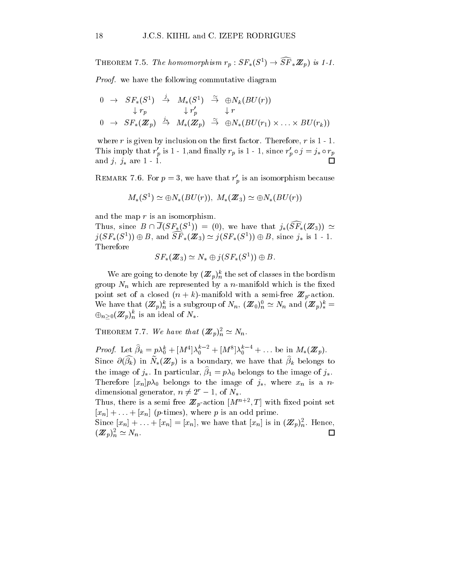**THEOREM** 1.3. The homomorphism  $r_p : ST_*(S^-) \to ST_*\mathbb{Z}_p$  is 1-1.

Proof. we have the following commutative diagram

$$
\begin{array}{ccccccccc}\n0 & \rightarrow & SF_*(S^1) & \stackrel{j}{\rightarrow} & M_*(S^1) & \stackrel{\sim}{\rightarrow} & \oplus N_k(BU(r))\\
& & \downarrow r_p & & \downarrow r' & & \downarrow r\\
0 & \rightarrow & SF_*(\mathbb{Z}_p) & \stackrel{j_*}{\rightarrow} & M_*(\mathbb{Z}_p) & \stackrel{\sim}{\rightarrow} & \oplus N_*(BU(r_1) \times \ldots \times BU(r_k))\n\end{array}
$$

where  $r$  is given by inclusion on the first factor. Therefore,  $r$  is  $1 - 1$ . I ms imply that  $r_p$  is 1 - 1, and mailly  $r_p$  is 1 - 1, since  $r_p \circ f = f_* \circ r_p$ and  $j, j_*$  are  $1 - 1$ . П

REMARK 7.6. For  $p = 3$ , we have that  $r'_p$  is an isomorphism because<br>  $M_*(S^1) \simeq \bigoplus N_*(BU(r)), M_*(\mathbb{Z}_3) \simeq \bigoplus N_*(BU(r))$ 

$$
M_*(S^1) \simeq \bigoplus N_*(BU(r)), \ M_*(\mathbb{Z}_3) \simeq \bigoplus N_*(BU(r))
$$

and the map  $r$  is an isomorphism.

Thus, since  $B \cap J(SF_*(S^1)) = (0)$ , we have that  $j_*(SF_*(\mathbb{Z}_3)) \simeq$  $j(SF_*(S^+)) \oplus B$ , and  $SF_*(\mathbb{Z}_3) \simeq j(SF_*(S^+)) \oplus B$ , since  $j_*$  is 1 - 1. Therefore

$$
SF_*(\mathbb{Z}_3) \simeq N_* \oplus j(SF_*(S^1)) \oplus B.
$$

We are going to denote by  $(\mathbb{Z}_p)_{n=0}^n$  the set of classes in the bordism group  $N_n$  which are represented by a *n*-manifold which is the fixed point set of a closed  $(x, t)$  -manifold with a semi-free  $\alpha$  p-action. We have that  $(\mathbb{Z}_p)_{n=0}^n$  is a subgroup of  $N_n$ ,  $(\mathbb{Z}_0)_{n=0}^n \simeq N_n$  and  $(\mathbb{Z}_p)_{*}^n =$  $\bigoplus_{n>0}(\mathbf{Z}_p)_n^k$  is an ideal of  $N_*$ .

**THEOREM 7.7.** We have that  $(\mathbb{Z}_p)^{\tilde{n}}_n \simeq N_n$ .

*Proof.* Let  $p_k = p\lambda_0 + [M^{\perp}]\lambda_0^{\perp} + [M^{\perp}]\lambda_0^{\perp} + \ldots$  be in  $M_*(\mathbb{Z}_p)$ . Since  $O(p_k)$  in  $N_*(\mathbf{z}_p)$  is a boundary, we have that  $p_k$  belongs to the image of  $j_*$ . In particular,  $\hat{\beta}_1 = p\lambda_0$  belongs to the image of  $j_*$ . Therefore  $[x_n]p\lambda_0$  belongs to the image of  $j_*$ , where  $x_n$  is a ndimensional generator,  $n \neq 2^r - 1$ , of  $N_*$ .

Thus, there is a semi-free  $\mathbb{Z}_p$ -action  $|M|\rightarrow 2$ ; With fixed point set  $[x_n] + \ldots + [x_n]$  (*p*-times), where *p* is an odd prime.

Since  $[x_n] + \ldots + [x_n] = [x_n]$ , we have that  $[x_n]$  is in  $(\mathbb{Z}_p)_{n}^-$ . Hence,  $\Box$  $(\mathbb{Z}_p)_n^{\sim} \simeq N_n.$